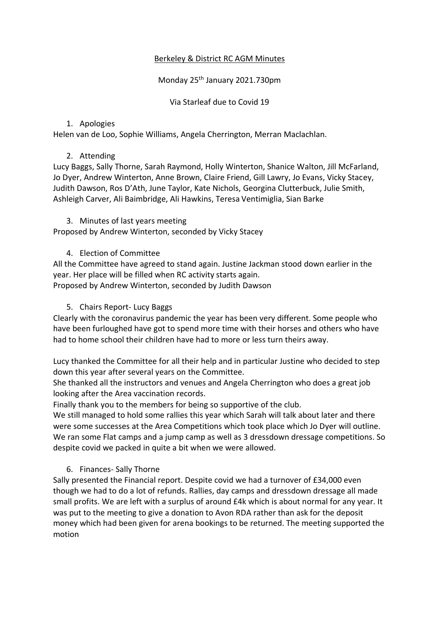# Berkeley & District RC AGM Minutes

# Monday 25th January 2021.730pm

Via Starleaf due to Covid 19

## 1. Apologies

Helen van de Loo, Sophie Williams, Angela Cherrington, Merran Maclachlan.

# 2. Attending

Lucy Baggs, Sally Thorne, Sarah Raymond, Holly Winterton, Shanice Walton, Jill McFarland, Jo Dyer, Andrew Winterton, Anne Brown, Claire Friend, Gill Lawry, Jo Evans, Vicky Stacey, Judith Dawson, Ros D'Ath, June Taylor, Kate Nichols, Georgina Clutterbuck, Julie Smith, Ashleigh Carver, Ali Baimbridge, Ali Hawkins, Teresa Ventimiglia, Sian Barke

#### 3. Minutes of last years meeting

Proposed by Andrew Winterton, seconded by Vicky Stacey

# 4. Election of Committee

All the Committee have agreed to stand again. Justine Jackman stood down earlier in the year. Her place will be filled when RC activity starts again. Proposed by Andrew Winterton, seconded by Judith Dawson

## 5. Chairs Report- Lucy Baggs

Clearly with the coronavirus pandemic the year has been very different. Some people who have been furloughed have got to spend more time with their horses and others who have had to home school their children have had to more or less turn theirs away.

Lucy thanked the Committee for all their help and in particular Justine who decided to step down this year after several years on the Committee.

She thanked all the instructors and venues and Angela Cherrington who does a great job looking after the Area vaccination records.

Finally thank you to the members for being so supportive of the club.

We still managed to hold some rallies this year which Sarah will talk about later and there were some successes at the Area Competitions which took place which Jo Dyer will outline. We ran some Flat camps and a jump camp as well as 3 dressdown dressage competitions. So despite covid we packed in quite a bit when we were allowed.

# 6. Finances- Sally Thorne

Sally presented the Financial report. Despite covid we had a turnover of £34,000 even though we had to do a lot of refunds. Rallies, day camps and dressdown dressage all made small profits. We are left with a surplus of around £4k which is about normal for any year. It was put to the meeting to give a donation to Avon RDA rather than ask for the deposit money which had been given for arena bookings to be returned. The meeting supported the motion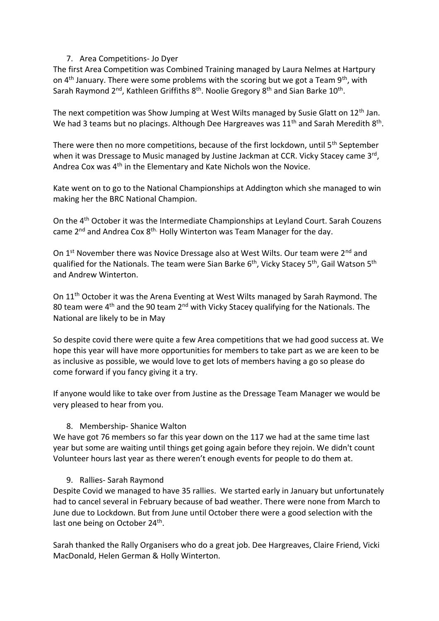#### 7. Area Competitions- Jo Dyer

The first Area Competition was Combined Training managed by Laura Nelmes at Hartpury on  $4<sup>th</sup>$  January. There were some problems with the scoring but we got a Team 9<sup>th</sup>, with Sarah Raymond 2<sup>nd</sup>, Kathleen Griffiths 8<sup>th</sup>. Noolie Gregory 8<sup>th</sup> and Sian Barke 10<sup>th</sup>.

The next competition was Show Jumping at West Wilts managed by Susie Glatt on 12<sup>th</sup> Jan. We had 3 teams but no placings. Although Dee Hargreaves was  $11<sup>th</sup>$  and Sarah Meredith 8<sup>th</sup>.

There were then no more competitions, because of the first lockdown, until 5<sup>th</sup> September when it was Dressage to Music managed by Justine Jackman at CCR. Vicky Stacey came 3<sup>rd</sup>, Andrea Cox was 4<sup>th</sup> in the Elementary and Kate Nichols won the Novice.

Kate went on to go to the National Championships at Addington which she managed to win making her the BRC National Champion.

On the 4th October it was the Intermediate Championships at Leyland Court. Sarah Couzens came 2<sup>nd</sup> and Andrea Cox 8<sup>th.</sup> Holly Winterton was Team Manager for the day.

On 1<sup>st</sup> November there was Novice Dressage also at West Wilts. Our team were 2<sup>nd</sup> and qualified for the Nationals. The team were Sian Barke 6<sup>th</sup>, Vicky Stacey 5<sup>th</sup>, Gail Watson 5<sup>th</sup> and Andrew Winterton.

On 11th October it was the Arena Eventing at West Wilts managed by Sarah Raymond. The 80 team were  $4<sup>th</sup>$  and the 90 team  $2<sup>nd</sup>$  with Vicky Stacey qualifying for the Nationals. The National are likely to be in May

So despite covid there were quite a few Area competitions that we had good success at. We hope this year will have more opportunities for members to take part as we are keen to be as inclusive as possible, we would love to get lots of members having a go so please do come forward if you fancy giving it a try.

If anyone would like to take over from Justine as the Dressage Team Manager we would be very pleased to hear from you.

# 8. Membership- Shanice Walton

We have got 76 members so far this year down on the 117 we had at the same time last year but some are waiting until things get going again before they rejoin. We didn't count Volunteer hours last year as there weren't enough events for people to do them at.

#### 9. Rallies- Sarah Raymond

Despite Covid we managed to have 35 rallies. We started early in January but unfortunately had to cancel several in February because of bad weather. There were none from March to June due to Lockdown. But from June until October there were a good selection with the last one being on October 24<sup>th</sup>.

Sarah thanked the Rally Organisers who do a great job. Dee Hargreaves, Claire Friend, Vicki MacDonald, Helen German & Holly Winterton.